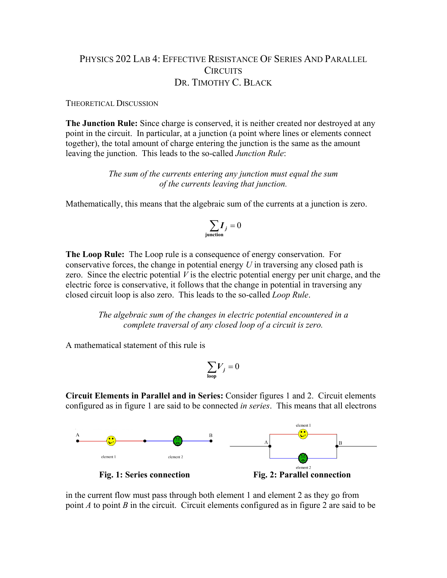## PHYSICS 202 LAB 4: EFFECTIVE RESISTANCE OF SERIES AND PARALLEL CIRCUITS DR. TIMOTHY C. BLACK

## THEORETICAL DISCUSSION

**The Junction Rule:** Since charge is conserved, it is neither created nor destroyed at any point in the circuit. In particular, at a junction (a point where lines or elements connect together), the total amount of charge entering the junction is the same as the amount leaving the junction. This leads to the so-called *Junction Rule*:

> *The sum of the currents entering any junction must equal the sum of the currents leaving that junction.*

Mathematically, this means that the algebraic sum of the currents at a junction is zero.

$$
\sum_{\text{junction}} I_j = 0
$$

**The Loop Rule:** The Loop rule is a consequence of energy conservation. For conservative forces, the change in potential energy *U* in traversing any closed path is zero. Since the electric potential *V* is the electric potential energy per unit charge, and the electric force is conservative, it follows that the change in potential in traversing any closed circuit loop is also zero. This leads to the so-called *Loop Rule*.

> *The algebraic sum of the changes in electric potential encountered in a complete traversal of any closed loop of a circuit is zero.*

A mathematical statement of this rule is

$$
\sum_{\text{loop}} V_j = 0
$$

**Circuit Elements in Parallel and in Series:** Consider figures 1 and 2. Circuit elements configured as in figure 1 are said to be connected *in series*. This means that all electrons



in the current flow must pass through both element 1 and element 2 as they go from point *A* to point *B* in the circuit. Circuit elements configured as in figure 2 are said to be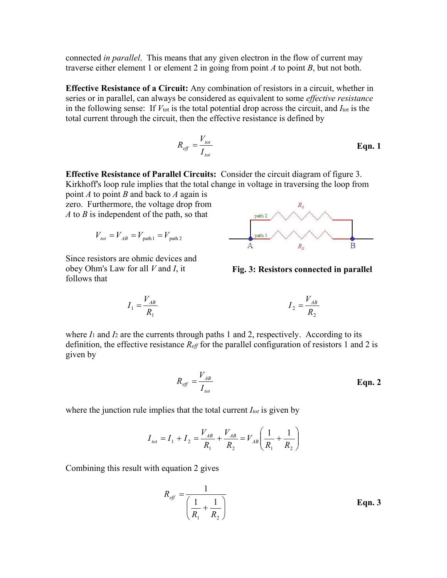connected *in parallel*. This means that any given electron in the flow of current may traverse either element 1 or element 2 in going from point *A* to point *B*, but not both.

**Effective Resistance of a Circuit:** Any combination of resistors in a circuit, whether in series or in parallel, can always be considered as equivalent to some *effective resistance* in the following sense: If  $V_{\text{tot}}$  is the total potential drop across the circuit, and  $I_{\text{tot}}$  is the total current through the circuit, then the effective resistance is defined by

$$
R_{\text{eff}} = \frac{V_{\text{tot}}}{I_{\text{tot}}} \tag{Eqn.1}
$$

**Effective Resistance of Parallel Circuits:** Consider the circuit diagram of figure 3. Kirkhoff's loop rule implies that the total change in voltage in traversing the loop from point *A* to point *B* and back to *A* again is

zero. Furthermore, the voltage drop from *A* to *B* is independent of the path, so that

$$
V_{\text{tot}} = V_{AB} = V_{\text{path 1}} = V_{\text{path 2}}
$$

Since resistors are ohmic devices and obey Ohm's Law for all *V* and *I*, it follows that



**Fig. 3: Resistors connected in parallel**

$$
I_1 = \frac{V_{AB}}{R_1}
$$
 
$$
I_2 = \frac{V_{AB}}{R_2}
$$

where  $I_1$  and  $I_2$  are the currents through paths 1 and 2, respectively. According to its definition, the effective resistance *Reff* for the parallel configuration of resistors 1 and 2 is given by

$$
R_{\text{eff}} = \frac{V_{AB}}{I_{\text{tot}}} \tag{Eqn. 2}
$$

where the junction rule implies that the total current  $I_{tot}$  is given by

$$
I_{tot} = I_1 + I_2 = \frac{V_{AB}}{R_1} + \frac{V_{AB}}{R_2} = V_{AB} \left(\frac{1}{R_1} + \frac{1}{R_2}\right)
$$

Combining this result with equation 2 gives

$$
R_{\text{eff}} = \frac{1}{\left(\frac{1}{R_1} + \frac{1}{R_2}\right)}
$$
 Eqn. 3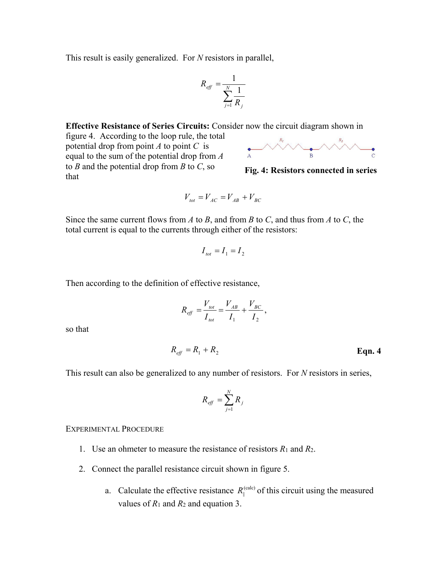This result is easily generalized. For *N* resistors in parallel,

$$
R_{\text{eff}} = \frac{1}{\sum_{j=1}^{N} \frac{1}{R_j}}
$$

**Effective Resistance of Series Circuits:** Consider now the circuit diagram shown in

figure 4. According to the loop rule, the total potential drop from point *A* to point *C* is equal to the sum of the potential drop from *A* to *B* and the potential drop from *B* to *C*, so that



**Fig. 4: Resistors connected in series**

$$
V_{\text{tot}} = V_{\text{AC}} = V_{\text{AB}} + V_{\text{BC}}
$$

Since the same current flows from *A* to *B*, and from *B* to *C*, and thus from *A* to *C*, the total current is equal to the currents through either of the resistors:

$$
I_{\rm tot}=I_1=I_2
$$

Then according to the definition of effective resistance,

$$
R_{\text{eff}} = \frac{V_{\text{tot}}}{I_{\text{tot}}} = \frac{V_{AB}}{I_1} + \frac{V_{BC}}{I_2},
$$

so that

$$
R_{\text{eff}} = R_1 + R_2 \tag{Eqn. 4}
$$

This result can also be generalized to any number of resistors. For *N* resistors in series,

$$
R_{\text{eff}} = \sum_{j=1}^{N} R_j
$$

## EXPERIMENTAL PROCEDURE

- 1. Use an ohmeter to measure the resistance of resistors *R*<sup>1</sup> and *R*2.
- 2. Connect the parallel resistance circuit shown in figure 5.
	- a. Calculate the effective resistance  $R_{\parallel}^{(\text{calc})}$  of this circuit using the measured values of *R*<sup>1</sup> and *R*<sup>2</sup> and equation 3.